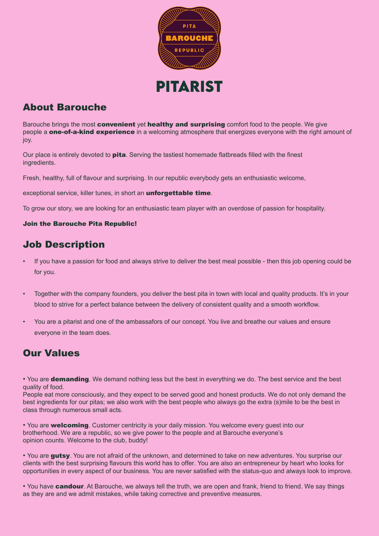

# About Barouche

Barouche brings the most **convenient** yet **healthy and surprising** comfort food to the people. We give people a **one-of-a-kind experience** in a welcoming atmosphere that energizes everyone with the right amount of joy.

Our place is entirely devoted to **pita**. Serving the tastiest homemade flatbreads filled with the finest ingredients.

Fresh, healthy, full of flavour and surprising. In our republic everybody gets an enthusiastic welcome,

exceptional service, killer tunes, in short an **unforgettable time**.

To grow our story, we are looking for an enthusiastic team player with an overdose of passion for hospitality.

#### Join the Barouche Pita Republic!

# Job Description

- If you have a passion for food and always strive to deliver the best meal possible then this job opening could be for you.
- Together with the company founders, you deliver the best pita in town with local and quality products. It's in your blood to strive for a perfect balance between the delivery of consistent quality and a smooth workflow.
- You are a pitarist and one of the ambassafors of our concept. You live and breathe our values and ensure everyone in the team does.

## Our Values

• You are **demanding**. We demand nothing less but the best in everything we do. The best service and the best quality of food.

People eat more consciously, and they expect to be served good and honest products. We do not only demand the best ingredients for our pitas; we also work with the best people who always go the extra (s)mile to be the best in class through numerous small acts.

• You are **welcoming**. Customer centricity is your daily mission. You welcome every quest into our brotherhood. We are a republic, so we give power to the people and at Barouche everyone's opinion counts. Welcome to the club, buddy!

• You are gutsy. You are not afraid of the unknown, and determined to take on new adventures. You surprise our clients with the best surprising flavours this world has to offer. You are also an entrepreneur by heart who looks for opportunities in every aspect of our business. You are never satisfied with the status-quo and always look to improve.

• You have **candour**. At Barouche, we always tell the truth, we are open and frank, friend to friend. We say things as they are and we admit mistakes, while taking corrective and preventive measures.